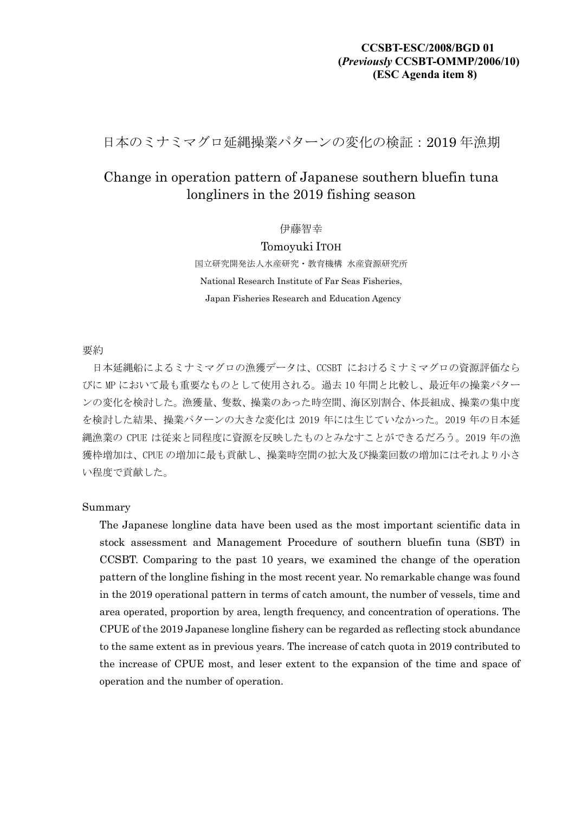## **CCSBT-ESC/2008/BGD 01 (***Previously* **CCSBT-OMMP/2006/10) (ESC Agenda item 8)**

日本のミナミマグロ延縄操業パターンの変化の検証:2019 年漁期

# Change in operation pattern of Japanese southern bluefin tuna longliners in the 2019 fishing season

伊藤智幸

Tomoyuki ITOH 国立研究開発法人水産研究・教育機構 水産資源研究所 National Research Institute of Far Seas Fisheries, Japan Fisheries Research and Education Agency

#### 要約

日本延縄船によるミナミマグロの漁獲データは、CCSBT におけるミナミマグロの資源評価なら びに MP において最も重要なものとして使用される。過去 10 年間と比較し、最近年の操業パター ンの変化を検討した。漁獲量、隻数、操業のあった時空間、海区別割合、体長組成、操業の集中度 を検討した結果、操業パターンの大きな変化は 2019 年には生じていなかった。2019 年の日本延 縄漁業の CPUE は従来と同程度に資源を反映したものとみなすことができるだろう。2019 年の漁 獲枠増加は、CPUE の増加に最も貢献し、操業時空間の拡大及び操業回数の増加にはそれより小さ い程度で貢献した。

#### Summary

The Japanese longline data have been used as the most important scientific data in stock assessment and Management Procedure of southern bluefin tuna (SBT) in CCSBT. Comparing to the past 10 years, we examined the change of the operation pattern of the longline fishing in the most recent year. No remarkable change was found in the 2019 operational pattern in terms of catch amount, the number of vessels, time and area operated, proportion by area, length frequency, and concentration of operations. The CPUE of the 2019 Japanese longline fishery can be regarded as reflecting stock abundance to the same extent as in previous years. The increase of catch quota in 2019 contributed to the increase of CPUE most, and leser extent to the expansion of the time and space of operation and the number of operation.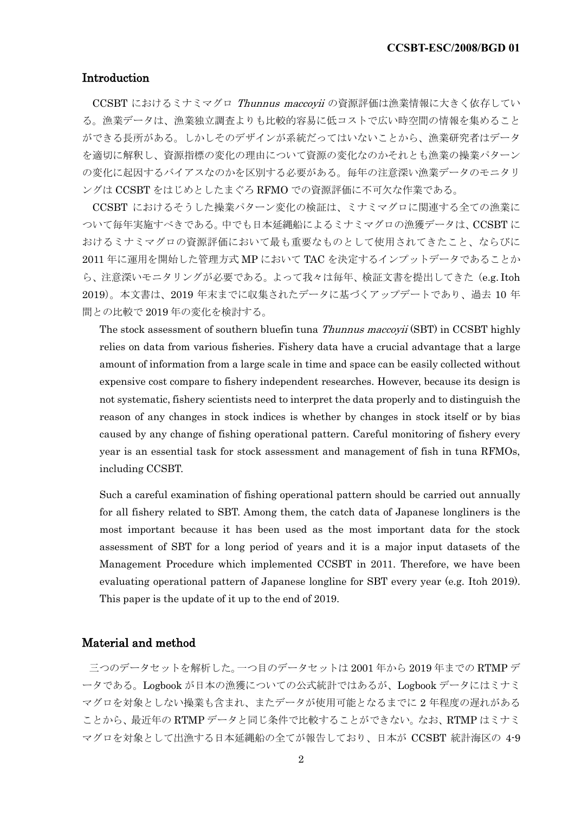### Introduction

CCSBT におけるミナミマグロ Thunnus maccovii の資源評価は漁業情報に大きく依存してい る。漁業データは、漁業独立調査よりも比較的容易に低コストで広い時空間の情報を集めること ができる長所がある。しかしそのデザインが系統だってはいないことから、漁業研究者はデータ を適切に解釈し、資源指標の変化の理由について資源の変化なのかそれとも漁業の操業パターン の変化に起因するバイアスなのかを区別する必要がある。毎年の注意深い漁業データのモニタリ ングは CCSBT をはじめとしたまぐろ RFMO での資源評価に不可欠な作業である。

CCSBT におけるそうした操業パターン変化の検証は、ミナミマグロに関連する全ての漁業に ついて毎年実施すべきである。中でも日本延縄船によるミナミマグロの漁獲データは、CCSBT に おけるミナミマグロの資源評価において最も重要なものとして使用されてきたこと、ならびに 2011 年に運用を開始した管理方式 MP において TAC を決定するインプットデータであることか ら、注意深いモニタリングが必要である。よって我々は毎年、検証文書を提出してきた (e.g. Itoh 2019)。本文書は、2019 年末までに収集されたデータに基づくアップデートであり、過去 10 年 間との比較で 2019 年の変化を検討する。

The stock assessment of southern bluefin tuna *Thunnus maccoyii* (SBT) in CCSBT highly relies on data from various fisheries. Fishery data have a crucial advantage that a large amount of information from a large scale in time and space can be easily collected without expensive cost compare to fishery independent researches. However, because its design is not systematic, fishery scientists need to interpret the data properly and to distinguish the reason of any changes in stock indices is whether by changes in stock itself or by bias caused by any change of fishing operational pattern. Careful monitoring of fishery every year is an essential task for stock assessment and management of fish in tuna RFMOs, including CCSBT.

Such a careful examination of fishing operational pattern should be carried out annually for all fishery related to SBT. Among them, the catch data of Japanese longliners is the most important because it has been used as the most important data for the stock assessment of SBT for a long period of years and it is a major input datasets of the Management Procedure which implemented CCSBT in 2011. Therefore, we have been evaluating operational pattern of Japanese longline for SBT every year (e.g. Itoh 2019). This paper is the update of it up to the end of 2019.

### Material and method

三つのデータセットを解析した。一つ目のデータセットは 2001 年から 2019 年までの RTMP デ ータである。Logbook が日本の漁獲についての公式統計ではあるが、Logbook データにはミナミ マグロを対象としない操業も含まれ、またデータが使用可能となるまでに 2 年程度の遅れがある ことから、最近年の RTMP データと同じ条件で比較することができない。なお、RTMP はミナミ マグロを対象として出漁する日本延縄船の全てが報告しており、日本が CCSBT 統計海区の 4-9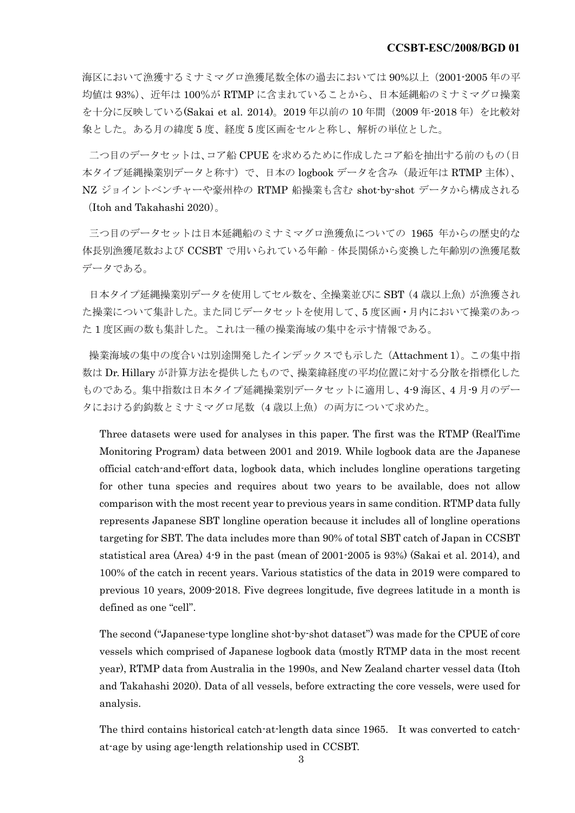海区において漁獲するミナミマグロ漁獲尾数全体の過去においては 90%以上(2001-2005 年の平 均値は 93%)、近年は 100%が RTMP に含まれていることから、日本延縄船のミナミマグロ操業 を十分に反映している(Sakai et al. 2014)。2019年以前の 10年間 (2009年-2018年)を比較対 象とした。ある月の緯度 5 度、経度 5 度区画をセルと称し、解析の単位とした。

二つ目のデータセットは、コア船 CPUE を求めるために作成したコア船を抽出する前のもの(日 本タイプ延縄操業別データと称す)で、日本の logbook データを含み(最近年は RTMP 主体)、 NZ ジョイントベンチャーや豪州枠の RTMP 船操業も含む shot-by-shot データから構成される (Itoh and Takahashi 2020)。

三つ目のデータセットは日本延縄船のミナミマグロ漁獲魚についての 1965 年からの歴史的な 体長別漁獲尾数および CCSBT で用いられている年齢‐体長関係から変換した年齢別の漁獲尾数 データである。

日本タイプ延縄操業別データを使用してセル数を、全操業並びに SBT (4 歳以上魚) が漁獲され た操業について集計した。また同じデータセットを使用して、5 度区画・月内において操業のあっ た 1 度区画の数も集計した。これは一種の操業海域の集中を示す情報である。

操業海域の集中の度合いは別途開発したインデックスでも示した(Attachment 1)。この集中指 数は Dr. Hillary が計算方法を提供したもので、操業緯経度の平均位置に対する分散を指標化した ものである。集中指数は日本タイプ延縄操業別データセットに適用し、4-9 海区、4 月-9 月のデー タにおける釣鈎数とミナミマグロ尾数(4 歳以上魚)の両方について求めた。

Three datasets were used for analyses in this paper. The first was the RTMP (RealTime Monitoring Program) data between 2001 and 2019. While logbook data are the Japanese official catch-and-effort data, logbook data, which includes longline operations targeting for other tuna species and requires about two years to be available, does not allow comparison with the most recent year to previous years in same condition. RTMP data fully represents Japanese SBT longline operation because it includes all of longline operations targeting for SBT. The data includes more than 90% of total SBT catch of Japan in CCSBT statistical area (Area) 4-9 in the past (mean of 2001-2005 is 93%) (Sakai et al. 2014), and 100% of the catch in recent years. Various statistics of the data in 2019 were compared to previous 10 years, 2009-2018. Five degrees longitude, five degrees latitude in a month is defined as one "cell".

The second ("Japanese-type longline shot-by-shot dataset") was made for the CPUE of core vessels which comprised of Japanese logbook data (mostly RTMP data in the most recent year), RTMP data from Australia in the 1990s, and New Zealand charter vessel data (Itoh and Takahashi 2020). Data of all vessels, before extracting the core vessels, were used for analysis.

The third contains historical catch-at-length data since 1965. It was converted to catchat-age by using age-length relationship used in CCSBT.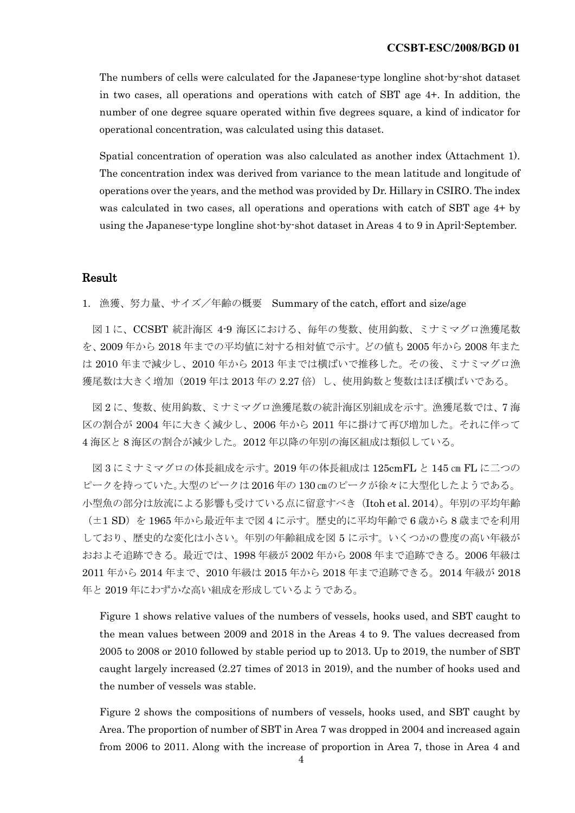The numbers of cells were calculated for the Japanese-type longline shot-by-shot dataset in two cases, all operations and operations with catch of SBT age 4+. In addition, the number of one degree square operated within five degrees square, a kind of indicator for operational concentration, was calculated using this dataset.

Spatial concentration of operation was also calculated as another index (Attachment 1). The concentration index was derived from variance to the mean latitude and longitude of operations over the years, and the method was provided by Dr. Hillary in CSIRO. The index was calculated in two cases, all operations and operations with catch of SBT age 4+ by using the Japanese-type longline shot-by-shot dataset in Areas 4 to 9 in April-September.

#### Result

1. 漁獲、努力量、サイズ/年齢の概要 Summary of the catch, effort and size/age

図1に、CCSBT 統計海区 4-9 海区における、毎年の隻数、使用鈎数、ミナミマグロ漁獲尾数 を、2009 年から 2018 年までの平均値に対する相対値で示す。どの値も 2005 年から 2008 年また は 2010 年まで減少し、2010 年から 2013 年までは横ばいで推移した。その後、ミナミマグロ漁 獲尾数は大きく増加(2019 年は 2013 年の 2.27 倍)し、使用鈎数と隻数はほぼ横ばいである。

図 2 に、隻数、使用鈎数、ミナミマグロ漁獲尾数の統計海区別組成を示す。漁獲尾数では、7 海 区の割合が 2004 年に大きく減少し、2006 年から 2011 年に掛けて再び増加した。それに伴って 4 海区と 8 海区の割合が減少した。2012 年以降の年別の海区組成は類似している。

図 3 にミナミマグロの体長組成を示す。2019 年の体長組成は 125cmFL と 145 ㎝ FL に二つの ピークを持っていた。大型のピークは 2016 年の 130 ㎝のピークが徐々に大型化したようである。 小型魚の部分は放流による影響も受けている点に留意すべき(Itoh et al. 2014)。年別の平均年齢 (±1 SD) を 1965年から最近年まで図 4 に示す。歴史的に平均年齢で6歳から8歳までを利用 しており、歴史的な変化は小さい。年別の年齢組成を図 5 に示す。いくつかの豊度の高い年級が おおよそ追跡できる。最近では、1998 年級が 2002 年から 2008 年まで追跡できる。2006 年級は 2011 年から 2014 年まで、2010 年級は 2015 年から 2018 年まで追跡できる。2014 年級が 2018 年と 2019 年にわずかな高い組成を形成しているようである。

Figure 1 shows relative values of the numbers of vessels, hooks used, and SBT caught to the mean values between 2009 and 2018 in the Areas 4 to 9. The values decreased from 2005 to 2008 or 2010 followed by stable period up to 2013. Up to 2019, the number of SBT caught largely increased (2.27 times of 2013 in 2019), and the number of hooks used and the number of vessels was stable.

Figure 2 shows the compositions of numbers of vessels, hooks used, and SBT caught by Area. The proportion of number of SBT in Area 7 was dropped in 2004 and increased again from 2006 to 2011. Along with the increase of proportion in Area 7, those in Area 4 and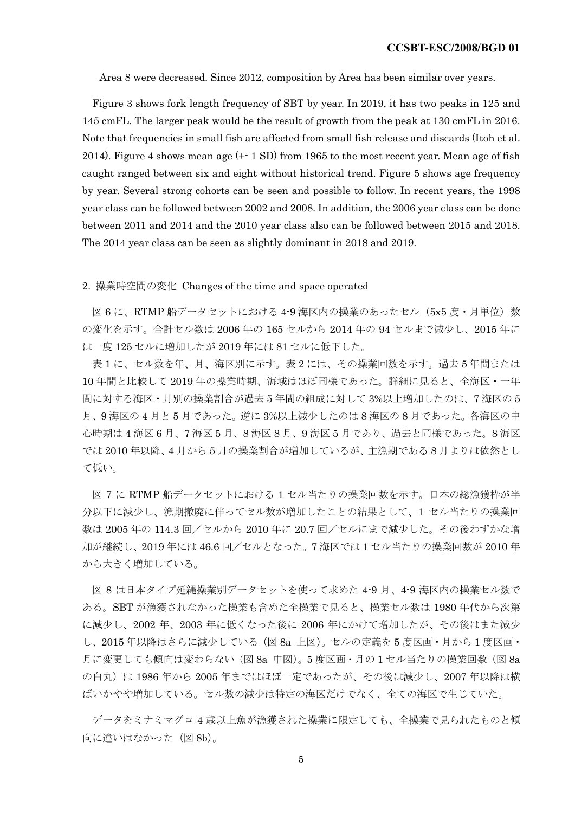Area 8 were decreased. Since 2012, composition by Area has been similar over years.

Figure 3 shows fork length frequency of SBT by year. In 2019, it has two peaks in 125 and 145 cmFL. The larger peak would be the result of growth from the peak at 130 cmFL in 2016. Note that frequencies in small fish are affected from small fish release and discards (Itoh et al. 2014). Figure 4 shows mean age (+- 1 SD) from 1965 to the most recent year. Mean age of fish caught ranged between six and eight without historical trend. Figure 5 shows age frequency by year. Several strong cohorts can be seen and possible to follow. In recent years, the 1998 year class can be followed between 2002 and 2008. In addition, the 2006 year class can be done between 2011 and 2014 and the 2010 year class also can be followed between 2015 and 2018. The 2014 year class can be seen as slightly dominant in 2018 and 2019.

#### 2. 操業時空間の変化 Changes of the time and space operated

図 6 に、RTMP 船データセットにおける 4-9 海区内の操業のあったセル (5x5 度・月単位) 数 の変化を示す。合計セル数は 2006 年の 165 セルから 2014 年の 94 セルまで減少し、2015 年に は一度 125 セルに増加したが 2019 年には 81 セルに低下した。

表 1 に、セル数を年、月、海区別に示す。表 2 には、その操業回数を示す。過去 5 年間または 10 年間と比較して 2019 年の操業時期、海域はほぼ同様であった。詳細に見ると、全海区・一年 間に対する海区・月別の操業割合が過去 5 年間の組成に対して 3%以上増加したのは、7 海区の 5 月、9 海区の 4 月と 5 月であった。逆に 3%以上減少したのは 8 海区の 8 月であった。各海区の中 心時期は 4 海区 6 月、7 海区 5 月、8 海区 8 月、9 海区 5 月であり、過去と同様であった。8 海区 では 2010 年以降、4 月から 5 月の操業割合が増加しているが、主漁期である 8 月よりは依然とし て低い。

図 7 に RTMP 船データセットにおける 1 セル当たりの操業回数を示す。日本の総漁獲枠が半 分以下に減少し、漁期撤廃に伴ってセル数が増加したことの結果として、1 セル当たりの操業回 数は 2005 年の 114.3 回/セルから 2010 年に 20.7 回/セルにまで減少した。その後わずかな増 加が継続し、2019 年には 46.6 回/セルとなった。7 海区では 1 セル当たりの操業回数が 2010 年 から大きく増加している。

図 8 は日本タイプ延縄操業別データセットを使って求めた 4-9 月、4-9 海区内の操業セル数で ある。SBT が漁獲されなかった操業も含めた全操業で見ると、操業セル数は 1980 年代から次第 に減少し、2002 年、2003 年に低くなった後に 2006 年にかけて増加したが、その後はまた減少 し、2015 年以降はさらに減少している(図 8a 上図)。セルの定義を 5 度区画・月から 1 度区画・ 月に変更しても傾向は変わらない(図 8a 中図)。5度区画·月の1セル当たりの操業回数(図 8a の白丸)は 1986年から 2005年まではほぼ一定であったが、その後は減少し、2007年以降は横 ばいかやや増加している。セル数の減少は特定の海区だけでなく、全ての海区で生じていた。

データをミナミマグロ 4 歳以上魚が漁獲された操業に限定しても、全操業で見られたものと傾 向に違いはなかった(図 8b)。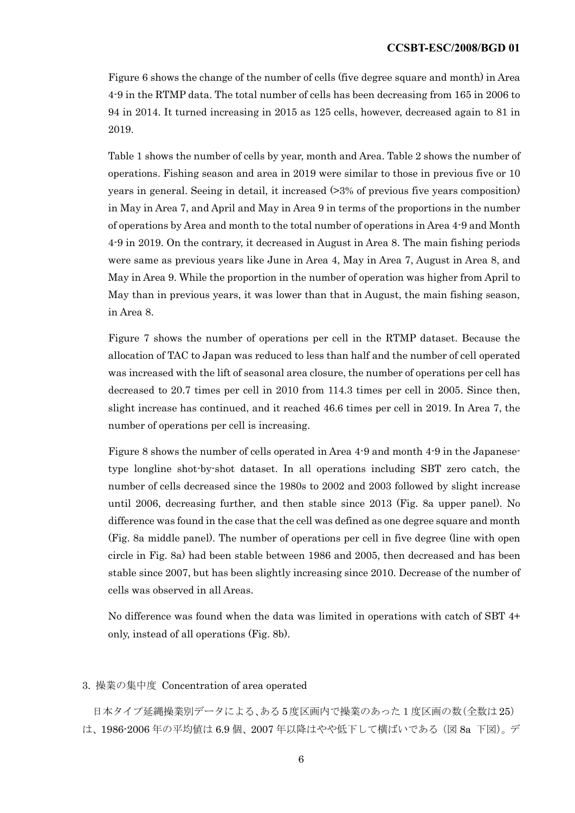Figure 6 shows the change of the number of cells (five degree square and month) in Area 4-9 in the RTMP data. The total number of cells has been decreasing from 165 in 2006 to 94 in 2014. It turned increasing in 2015 as 125 cells, however, decreased again to 81 in 2019.

Table 1 shows the number of cells by year, month and Area. Table 2 shows the number of operations. Fishing season and area in 2019 were similar to those in previous five or 10 years in general. Seeing in detail, it increased (>3% of previous five years composition) in May in Area 7, and April and May in Area 9 in terms of the proportions in the number of operations by Area and month to the total number of operations in Area 4-9 and Month 4-9 in 2019. On the contrary, it decreased in August in Area 8. The main fishing periods were same as previous years like June in Area 4, May in Area 7, August in Area 8, and May in Area 9. While the proportion in the number of operation was higher from April to May than in previous years, it was lower than that in August, the main fishing season, in Area 8.

Figure 7 shows the number of operations per cell in the RTMP dataset. Because the allocation of TAC to Japan was reduced to less than half and the number of cell operated was increased with the lift of seasonal area closure, the number of operations per cell has decreased to 20.7 times per cell in 2010 from 114.3 times per cell in 2005. Since then, slight increase has continued, and it reached 46.6 times per cell in 2019. In Area 7, the number of operations per cell is increasing.

Figure 8 shows the number of cells operated in Area 4-9 and month 4-9 in the Japanesetype longline shot-by-shot dataset. In all operations including SBT zero catch, the number of cells decreased since the 1980s to 2002 and 2003 followed by slight increase until 2006, decreasing further, and then stable since 2013 (Fig. 8a upper panel). No difference was found in the case that the cell was defined as one degree square and month (Fig. 8a middle panel). The number of operations per cell in five degree (line with open circle in Fig. 8a) had been stable between 1986 and 2005, then decreased and has been stable since 2007, but has been slightly increasing since 2010. Decrease of the number of cells was observed in all Areas.

No difference was found when the data was limited in operations with catch of SBT 4+ only, instead of all operations (Fig. 8b).

#### 3. 操業の集中度 Concentration of area operated

日本タイプ延縄操業別データによる、ある 5度区画内で操業のあった1度区画の数(全数は 25) は、1986-2006 年の平均値は 6.9 個、2007 年以降はやや低下して横ばいである(図 8a 下図)。デ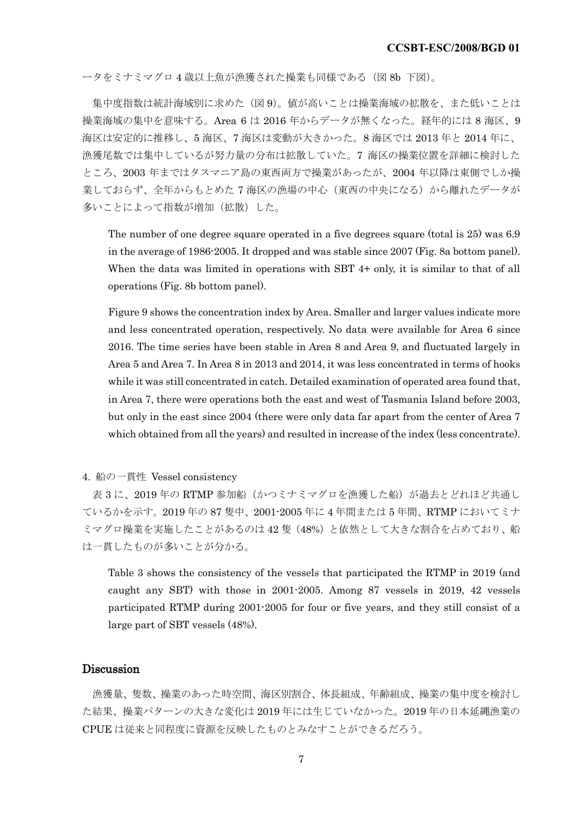ータをミナミマグロ 4 歳以上魚が漁獲された操業も同様である(図 8b 下図)。

集中度指数は統計海域別に求めた(図 9)。値が高いことは操業海域の拡散を、また低いことは 操業海域の集中を意味する。Area 6 は 2016 年からデータが無くなった。経年的には 8 海区、9 海区は安定的に推移し、5 海区、7 海区は変動が大きかった。8 海区では 2013 年と 2014 年に、 漁獲尾数では集中しているが努力量の分布は拡散していた。7 海区の操業位置を詳細に検討した ところ、2003 年まではタスマニア島の東西両方で操業があったが、2004 年以降は東側でしか操 業しておらず、全年からもとめた7海区の漁場の中心(東西の中央になる)から離れたデータが 多いことによって指数が増加(拡散)した。

The number of one degree square operated in a five degrees square (total is 25) was 6.9 in the average of 1986-2005. It dropped and was stable since 2007 (Fig. 8a bottom panel). When the data was limited in operations with SBT 4+ only, it is similar to that of all operations (Fig. 8b bottom panel).

Figure 9 shows the concentration index by Area. Smaller and larger values indicate more and less concentrated operation, respectively. No data were available for Area 6 since 2016. The time series have been stable in Area 8 and Area 9, and fluctuated largely in Area 5 and Area 7. In Area 8 in 2013 and 2014, it was less concentrated in terms of hooks while it was still concentrated in catch. Detailed examination of operated area found that, in Area 7, there were operations both the east and west of Tasmania Island before 2003, but only in the east since 2004 (there were only data far apart from the center of Area 7 which obtained from all the years) and resulted in increase of the index (less concentrate).

4. 船の一貫性 Vessel consistency

表 3 に、2019年の RTMP 参加船(かつミナミマグロを漁獲した船)が過去とどれほど共通し ているかを示す。2019 年の 87 隻中、2001-2005 年に 4 年間または 5 年間、RTMP においてミナ ミマグロ操業を実施したことがあるのは42隻(48%)と依然として大きな割合を占めており、船 は一貫したものが多いことが分かる。

Table 3 shows the consistency of the vessels that participated the RTMP in 2019 (and caught any SBT) with those in 2001-2005. Among 87 vessels in 2019, 42 vessels participated RTMP during 2001-2005 for four or five years, and they still consist of a large part of SBT vessels (48%).

### Discussion

漁獲量、隻数、操業のあった時空間、海区別割合、体長組成、年齢組成、操業の集中度を検討し た結果、操業パターンの大きな変化は 2019 年には生じていなかった。2019 年の日本延縄漁業の CPUE は従来と同程度に資源を反映したものとみなすことができるだろう。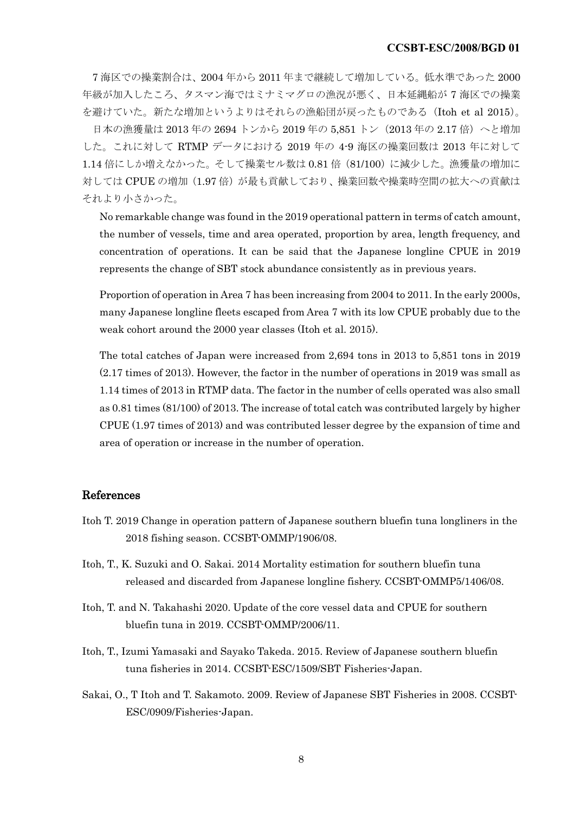7 海区での操業割合は、2004 年から 2011 年まで継続して増加している。低水準であった 2000 年級が加入したころ、タスマン海ではミナミマグロの漁況が悪く、日本延縄船が 7 海区での操業 を避けていた。新たな増加というよりはそれらの漁船団が戻ったものである(Itoh et al 2015)。

日本の漁獲量は 2013 年の 2694 トンから 2019 年の 5,851 トン(2013 年の 2.17 倍)へと増加 した。これに対して RTMP データにおける 2019 年の 4-9 海区の操業回数は 2013 年に対して 1.14 倍にしか増えなかった。そして操業セル数は 0.81 倍(81/100)に減少した。漁獲量の増加に 対しては CPUE の増加 (1.97倍) が最も貢献しており、操業回数や操業時空間の拡大への貢献は それより小さかった。

No remarkable change was found in the 2019 operational pattern in terms of catch amount, the number of vessels, time and area operated, proportion by area, length frequency, and concentration of operations. It can be said that the Japanese longline CPUE in 2019 represents the change of SBT stock abundance consistently as in previous years.

Proportion of operation in Area 7 has been increasing from 2004 to 2011. In the early 2000s, many Japanese longline fleets escaped from Area 7 with its low CPUE probably due to the weak cohort around the 2000 year classes (Itoh et al. 2015).

The total catches of Japan were increased from 2,694 tons in 2013 to 5,851 tons in 2019 (2.17 times of 2013). However, the factor in the number of operations in 2019 was small as 1.14 times of 2013 in RTMP data. The factor in the number of cells operated was also small as 0.81 times (81/100) of 2013. The increase of total catch was contributed largely by higher CPUE (1.97 times of 2013) and was contributed lesser degree by the expansion of time and area of operation or increase in the number of operation.

### References

- Itoh T. 2019 Change in operation pattern of Japanese southern bluefin tuna longliners in the 2018 fishing season. CCSBT-OMMP/1906/08.
- Itoh, T., K. Suzuki and O. Sakai. 2014 Mortality estimation for southern bluefin tuna released and discarded from Japanese longline fishery. CCSBT-OMMP5/1406/08.
- Itoh, T. and N. Takahashi 2020. Update of the core vessel data and CPUE for southern bluefin tuna in 2019. CCSBT-OMMP/2006/11.
- Itoh, T., Izumi Yamasaki and Sayako Takeda. 2015. Review of Japanese southern bluefin tuna fisheries in 2014. CCSBT-ESC/1509/SBT Fisheries-Japan.
- Sakai, O., T Itoh and T. Sakamoto. 2009. Review of Japanese SBT Fisheries in 2008. CCSBT-ESC/0909/Fisheries-Japan.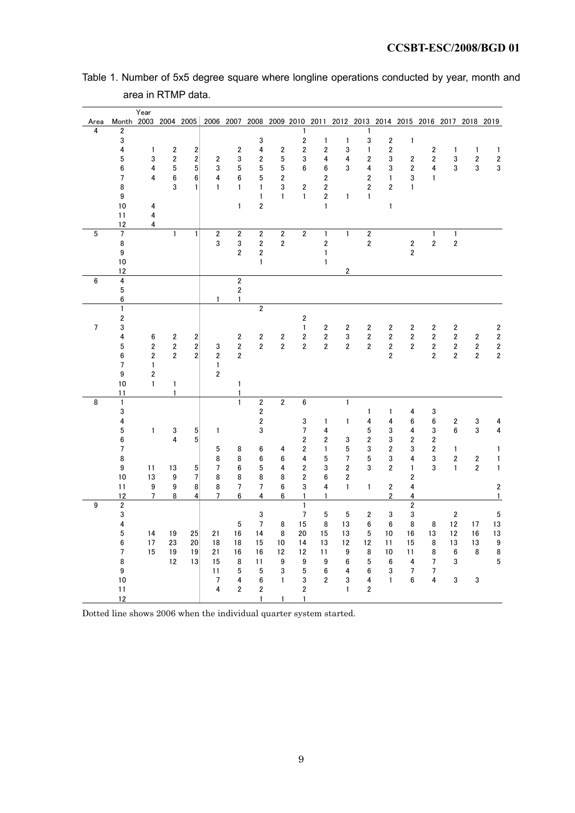|  |                    |  |  | Table 1. Number of 5x5 degree square where longline operations conducted by year, month and |  |  |
|--|--------------------|--|--|---------------------------------------------------------------------------------------------|--|--|
|  | area in RTMP data. |  |  |                                                                                             |  |  |

|                |                                                 | Year                             |                         |                         |                         |                                  |                         |                         |                         |                         |                         |                         |                         |                         |                         |                                                                       |                                                    |                             |
|----------------|-------------------------------------------------|----------------------------------|-------------------------|-------------------------|-------------------------|----------------------------------|-------------------------|-------------------------|-------------------------|-------------------------|-------------------------|-------------------------|-------------------------|-------------------------|-------------------------|-----------------------------------------------------------------------|----------------------------------------------------|-----------------------------|
| Area<br>4      | Month 2003 2004 2005<br>$\overline{\mathbf{c}}$ |                                  |                         |                         |                         |                                  |                         |                         | 1                       |                         |                         | 1                       |                         |                         |                         | 2006 2007 2008 2009 2010 2011 2012 2013 2014 2015 2016 2017 2018 2019 |                                                    |                             |
|                | $\mathbf 3$                                     |                                  |                         |                         |                         |                                  | 3                       |                         | $\overline{\mathbf{c}}$ | $\mathbf{1}$            | $\mathbf{1}$            | $\mathbf 3$             | $\boldsymbol{2}$        | $\mathbf{1}$            |                         |                                                                       |                                                    |                             |
|                | $\overline{\mathbf{4}}$                         | 1                                | $\overline{\mathbf{c}}$ | $\overline{2}$          |                         | $\overline{2}$                   | $\overline{4}$          | $\overline{\mathbf{c}}$ | $\boldsymbol{2}$        | $\overline{\mathbf{c}}$ | 3                       | 1                       | $\boldsymbol{2}$        |                         | $\overline{2}$          | 1                                                                     | 1                                                  | $\mathbf{1}$                |
|                | 5                                               | 3                                | $\boldsymbol{2}$        | $\boldsymbol{2}$        | 2                       | 3                                | $\overline{\mathbf{c}}$ | $\mathbf 5$             | 3                       | 4                       | 4                       | 2                       | 3                       | 2                       | $\overline{\mathbf{2}}$ | 3                                                                     | $\boldsymbol{2}$                                   | $\boldsymbol{2}$            |
|                | 6                                               | 4                                | 5                       | 5 <sup>3</sup>          | 3                       | 5                                | 5                       | 5                       | 6                       | 6                       | 3                       | 4                       | 3                       | $\overline{\mathbf{c}}$ | 4                       | 3                                                                     | 3                                                  | $\mathbf 3$                 |
|                | $\overline{7}$                                  | 4                                | 6                       | 6                       | 4                       | 6                                | 5                       | $\mathbf 2$             |                         | $\overline{\mathbf{2}}$ |                         | 2                       | $\mathbf{1}$            | 3                       | $\mathbf{1}$            |                                                                       |                                                    |                             |
|                | 8                                               |                                  | 3                       | $\mathbf{1}$            | $\mathbf{1}$            | 1                                | $\mathbf{1}$            | 3                       | $\overline{2}$          | $\overline{\mathbf{2}}$ |                         | 2                       | $\overline{\mathbf{2}}$ | 1                       |                         |                                                                       |                                                    |                             |
|                | 9                                               |                                  |                         |                         |                         |                                  | $\mathbf{1}$            | $\mathbf{1}$            | $\mathbf{1}$            | $\boldsymbol{2}$        | $\mathbf{1}$            | $\mathbf{1}$            |                         |                         |                         |                                                                       |                                                    |                             |
|                | 10<br>11                                        | 4<br>4                           |                         |                         |                         | $\mathbf{1}$                     | $\overline{2}$          |                         |                         | $\mathbf{1}$            |                         |                         | $\mathbf{1}$            |                         |                         |                                                                       |                                                    |                             |
|                | 12                                              | 4                                |                         |                         |                         |                                  |                         |                         |                         |                         |                         |                         |                         |                         |                         |                                                                       |                                                    |                             |
| 5              | $\overline{7}$                                  |                                  | $\mathbf{1}$            | 1                       | $\overline{\mathbf{c}}$ | $\overline{\mathbf{c}}$          | $\overline{\mathbf{2}}$ | $\overline{\mathbf{2}}$ | $\overline{2}$          | $\mathbf{1}$            | $\mathbf{1}$            | $\overline{\mathbf{c}}$ |                         |                         | $\mathbf{1}$            | $\mathbf{1}$                                                          |                                                    |                             |
|                | 8                                               |                                  |                         |                         | 3                       | 3                                | $\overline{\mathbf{c}}$ | $\overline{2}$          |                         | $\overline{\mathbf{c}}$ |                         | 2                       |                         | $\boldsymbol{2}$        | $\boldsymbol{2}$        | $\overline{\mathbf{c}}$                                               |                                                    |                             |
|                | 9                                               |                                  |                         |                         |                         | $\overline{\mathbf{c}}$          | $\boldsymbol{2}$        |                         |                         | $\mathbf{1}$            |                         |                         |                         | $\overline{\mathbf{2}}$ |                         |                                                                       |                                                    |                             |
|                | 10                                              |                                  |                         |                         |                         |                                  | $\mathbf{1}$            |                         |                         | $\mathbf{1}$            |                         |                         |                         |                         |                         |                                                                       |                                                    |                             |
|                | 12                                              |                                  |                         |                         |                         |                                  |                         |                         |                         |                         | $\overline{2}$          |                         |                         |                         |                         |                                                                       |                                                    |                             |
| $6\phantom{1}$ | 4                                               |                                  |                         |                         |                         | $\overline{2}$                   |                         |                         |                         |                         |                         |                         |                         |                         |                         |                                                                       |                                                    |                             |
|                | $\mathbf 5$<br>6                                |                                  |                         |                         | $\mathbf{1}$            | $\boldsymbol{2}$<br>$\mathbf{1}$ |                         |                         |                         |                         |                         |                         |                         |                         |                         |                                                                       |                                                    |                             |
|                | $\mathbf{1}$                                    |                                  |                         |                         |                         |                                  | $\overline{2}$          |                         |                         |                         |                         |                         |                         |                         |                         |                                                                       |                                                    |                             |
|                | $\overline{\mathbf{c}}$                         |                                  |                         |                         |                         |                                  |                         |                         | $\boldsymbol{2}$        |                         |                         |                         |                         |                         |                         |                                                                       |                                                    |                             |
| $\overline{7}$ | 3                                               |                                  |                         |                         |                         |                                  |                         |                         | $\mathbf{1}$            | $\boldsymbol{2}$        | $\boldsymbol{2}$        | $\overline{\mathbf{c}}$ | $\boldsymbol{2}$        | $\overline{\mathbf{c}}$ | $\overline{\mathbf{2}}$ | $\overline{\mathbf{c}}$                                               |                                                    | $\boldsymbol{2}$            |
|                | 4                                               | 6                                | $\overline{\mathbf{c}}$ | $\overline{\mathbf{c}}$ |                         | $\overline{\mathbf{c}}$          | $\boldsymbol{2}$        | $\overline{\mathbf{c}}$ | 2                       | $\boldsymbol{2}$        | 3                       | $\boldsymbol{2}$        | $\mathbf 2$             | $\mathbf 2$             | $\boldsymbol{2}$        | 2                                                                     | 2                                                  | $\boldsymbol{2}$            |
|                | 5                                               | $\overline{\mathbf{c}}$          | $\overline{2}$          | $\mathbf{2}$            | 3                       | 2                                | $\overline{2}$          | $\overline{\mathbf{c}}$ | $\overline{2}$          | $\overline{2}$          | $\overline{2}$          | $\overline{2}$          | $\mathbf 2$             | $\overline{2}$          | $\boldsymbol{2}$        | 2                                                                     | $\mathbf 2$                                        | $\boldsymbol{2}$            |
|                | 6                                               | $\overline{\mathbf{c}}$          | $\overline{2}$          | $2\sqrt{ }$             | $\overline{\mathbf{c}}$ | $\overline{\mathbf{c}}$          |                         |                         |                         |                         |                         |                         | $\overline{\mathbf{2}}$ |                         | $\overline{2}$          | $\overline{\mathbf{c}}$                                               | $\overline{\mathbf{2}}$                            | $\mathbf 2$                 |
|                | $\overline{7}$                                  | $\mathbf{1}$                     |                         |                         | 1                       |                                  |                         |                         |                         |                         |                         |                         |                         |                         |                         |                                                                       |                                                    |                             |
|                | 9<br>10                                         | $\boldsymbol{2}$<br>$\mathbf{1}$ | $\mathbf{1}$            |                         | $\boldsymbol{2}$        | $\mathbf{1}$                     |                         |                         |                         |                         |                         |                         |                         |                         |                         |                                                                       |                                                    |                             |
|                | 11                                              |                                  | $\mathbf{1}$            |                         |                         | 1                                |                         |                         |                         |                         |                         |                         |                         |                         |                         |                                                                       |                                                    |                             |
| 8              | $\mathbf{1}$                                    |                                  |                         |                         |                         | $\mathbf{1}$                     | $\overline{\mathbf{c}}$ | $\overline{2}$          | 6                       |                         | $\mathbf{1}$            |                         |                         |                         |                         |                                                                       |                                                    |                             |
|                | 3                                               |                                  |                         |                         |                         |                                  | $\overline{\mathbf{c}}$ |                         |                         |                         |                         | 1                       | 1                       | 4                       | 3                       |                                                                       |                                                    |                             |
|                | 4                                               |                                  |                         |                         |                         |                                  | $\boldsymbol{2}$        |                         | 3                       | $\mathbf{1}$            | 1                       | 4                       | 4                       | 6                       | $\bf 6$                 | 2                                                                     | 3                                                  | 4                           |
|                | 5                                               | $\mathbf{1}$                     | 3                       | 5                       | 1                       |                                  | 3                       |                         | 7                       | 4                       |                         | 5                       | 3                       | 4                       | 3                       | 6                                                                     | 3                                                  | $\overline{\mathbf{4}}$     |
|                | 6                                               |                                  | $\overline{\mathbf{4}}$ | 5                       |                         |                                  |                         |                         | $\overline{\mathbf{c}}$ | $\overline{\mathbf{2}}$ | 3                       | $\overline{\mathbf{c}}$ | 3                       | $\overline{\mathbf{c}}$ | 2                       |                                                                       |                                                    |                             |
|                | 7<br>8                                          |                                  |                         |                         | 5<br>8                  | 8<br>8                           | 6                       | 4                       | 2<br>4                  | 1<br>5                  | 5<br>$\overline{7}$     | 3<br>5                  | $\overline{2}$<br>3     | 3<br>4                  | $\overline{2}$<br>3     | 1<br>2                                                                |                                                    | $\mathbf{1}$                |
|                | 9                                               | 11                               | 13                      | 5                       | 7                       | 6                                | 6<br>5                  | 6<br>4                  | $\overline{\mathbf{c}}$ | 3                       | $\overline{\mathbf{c}}$ | 3                       | $\overline{\mathbf{2}}$ | $\mathbf{1}$            | 3                       | 1                                                                     | $\overline{\mathbf{c}}$<br>$\overline{\mathbf{c}}$ | $\mathbf 1$<br>$\mathbf{1}$ |
|                | 10                                              | 13                               | 9                       | $\overline{7}$          | 8                       | 8                                | 8                       | 8                       | $\overline{\mathbf{c}}$ | 6                       | $\overline{2}$          |                         |                         | $\overline{\mathbf{c}}$ |                         |                                                                       |                                                    |                             |
|                | 11                                              | 9                                | 9                       | 8 <sup>1</sup>          | 8                       | 7                                | 7                       | 6                       | 3                       | 4                       | $\mathbf{1}$            | $\mathbf{1}$            | $\overline{\mathbf{2}}$ | 4                       |                         |                                                                       |                                                    | $\boldsymbol{2}$            |
|                | 12                                              | 7                                | 8                       | $\overline{4}$          | 7                       | 6                                | 4                       | 6                       | $\mathbf{1}$            | $\mathbf{1}$            |                         |                         | $\overline{2}$          | 4                       |                         |                                                                       |                                                    | $\mathbf{1}$                |
| 9              | $\overline{2}$                                  |                                  |                         |                         |                         |                                  |                         |                         | $\mathbf{1}$            |                         |                         |                         |                         | $\overline{2}$          |                         |                                                                       |                                                    |                             |
|                | 3                                               |                                  |                         |                         |                         |                                  | 3                       |                         | $\overline{7}$          | 5                       | 5                       | $\overline{\mathbf{c}}$ | 3                       | 3                       |                         | $\overline{\mathbf{2}}$                                               |                                                    | $\overline{5}$              |
|                | 4                                               |                                  |                         |                         |                         | 5                                | $\overline{7}$          | 8                       | 15                      | 8                       | 13                      | 6                       | 6                       | 8                       | 8                       | 12                                                                    | 17                                                 | 13                          |
|                | 5<br>6                                          | 14<br>17                         | 19<br>23                | 25<br>20                | 21<br>18                | 16<br>18                         | 14<br>15                | 8<br>10                 | 20<br>14                | 15<br>13                | 13<br>12                | 5<br>12                 | 10<br>11                | 16<br>15                | 13<br>8                 | 12<br>13                                                              | 16<br>13                                           | $13\,$<br>$\boldsymbol{9}$  |
|                | $\overline{7}$                                  | 15                               | 19                      | 19                      | 21                      | 16                               | 16                      | 12                      | 12                      | 11                      | 9                       | 8                       | 10                      | 11                      | 8                       | 6                                                                     | 8                                                  | $\bf 8$                     |
|                | 8                                               |                                  | 12                      | 13                      | 15                      | 8                                | 11                      | 9                       | 9                       | 9                       | 6                       | 5                       | 6                       | 4                       | 7                       | 3                                                                     |                                                    | $\sqrt{5}$                  |
|                | 9                                               |                                  |                         |                         | 11                      | 5                                | 5                       | 3                       | 5                       | 6                       | 4                       | 6                       | 3                       | 7                       | $\overline{7}$          |                                                                       |                                                    |                             |
|                | 10                                              |                                  |                         |                         | 7                       | 4                                | 6                       | $\mathbf{1}$            | 3                       | $\overline{2}$          | 3                       | 4                       | $\mathbf{1}$            | 6                       | 4                       | 3                                                                     | 3                                                  |                             |
|                | 11                                              |                                  |                         |                         | 4                       | $\overline{2}$                   | $\overline{\mathbf{c}}$ |                         | $\boldsymbol{2}$        |                         | $\mathbf{1}$            | $\boldsymbol{2}$        |                         |                         |                         |                                                                       |                                                    |                             |
|                | 12                                              |                                  |                         |                         |                         |                                  | $\mathbf{1}$            | $\mathbf{1}$            | $\mathbf{1}$            |                         |                         |                         |                         |                         |                         |                                                                       |                                                    |                             |

Dotted line shows 2006 when the individual quarter system started.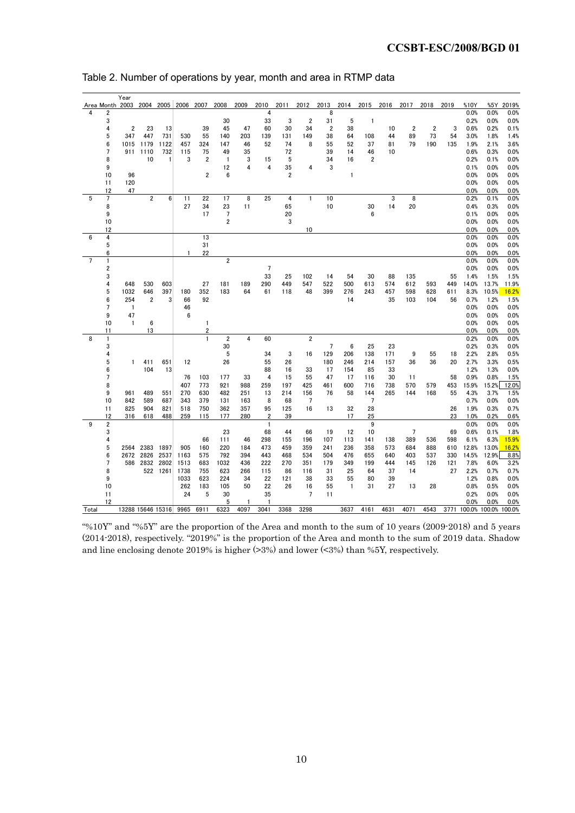|                |                | Year              |                         |                |                     |                                         |                         |      |                |      |                         |                |              |                |      |                |                |      |       |                      |       |
|----------------|----------------|-------------------|-------------------------|----------------|---------------------|-----------------------------------------|-------------------------|------|----------------|------|-------------------------|----------------|--------------|----------------|------|----------------|----------------|------|-------|----------------------|-------|
|                |                | Area Month 2003   |                         |                | 2004 2005 2006 2007 |                                         | 2008                    | 2009 | 2010           | 2011 | 2012                    | 2013           | 2014         | 2015           | 2016 | 2017           | 2018           | 2019 | %10Y  | %5Y                  | 2019% |
|                | $\overline{2}$ |                   |                         |                |                     |                                         |                         |      | 4              |      |                         | 8              |              |                |      |                |                |      | 0.0%  | 0.0%                 | 0.0%  |
|                | 3              |                   |                         |                |                     |                                         | 30                      |      | 33             | 3    | $\overline{2}$          | 31             | 5            | $\mathbf{1}$   |      |                |                |      | 0.2%  | 0.0%                 | 0.0%  |
|                | 4              | $\overline{2}$    | 23                      | 13             |                     | 39                                      | 45                      | 47   | 60             | 30   | 34                      | $\overline{2}$ | 38           |                | 10   | $\overline{2}$ | $\overline{2}$ | 3    | 0.6%  | 0.2%                 | 0.1%  |
|                | 5              | 347               | 447                     | 731            | 530                 | 55                                      | 140                     | 203  | 139            | 131  | 149                     | 38             | 64           | 108            | 44   | 89             | 73             | 54   | 3.0%  | 1.8%                 | 1.4%  |
|                | 6              | 1015              | 1179                    | 1122           | 457                 | 324                                     | 147                     | 46   | 52             | 74   | 8                       | 55             | 52           | 37             | 81   | 79             | 190            | 135  | 1.9%  | 2.1%                 | 3.6%  |
|                | 7              | 911               | 1110                    | 732            | 115                 | 75                                      | 49                      | 35   |                | 72   |                         | 39             | 14           | 46             | 10   |                |                |      | 0.6%  | 0.3%                 | 0.0%  |
|                | 8              |                   | 10                      | 1              | 3                   | $\overline{2}$                          | $\overline{1}$          | 3    | 15             | 5    |                         | 34             | 16           | $\overline{2}$ |      |                |                |      | 0.2%  | 0.1%                 | 0.0%  |
|                | 9              |                   |                         |                |                     |                                         | 12                      | 4    | 4              | 35   | $\overline{\mathbf{4}}$ | 3              |              |                |      |                |                |      | 0.1%  | 0.0%                 | 0.0%  |
|                | 10             | 96                |                         |                |                     | $\overline{2}$                          | 6                       |      |                | 2    |                         |                | $\mathbf{1}$ |                |      |                |                |      | 0.0%  | 0.0%                 | 0.0%  |
|                | 11             | 120               |                         |                |                     |                                         |                         |      |                |      |                         |                |              |                |      |                |                |      | 0.0%  | 0.0%                 | 0.0%  |
|                | 12             | 47                |                         |                |                     |                                         |                         |      |                |      |                         |                |              |                |      |                |                |      | 0.0%  | 0.0%                 | 0.0%  |
| 5              | 7              |                   | $\overline{\mathbf{c}}$ | 6 <sup>1</sup> | 11                  | 22                                      | 17                      | 8    | 25             | 4    | $\mathbf{1}$            | 10             |              |                | 3    | 8              |                |      | 0.2%  | 0.1%                 | 0.0%  |
|                | 8              |                   |                         |                | 27                  | 34                                      | 23                      | 11   |                | 65   |                         | 10             |              | 30             | 14   | 20             |                |      | 0.4%  | 0.3%                 | 0.0%  |
|                | 9              |                   |                         |                |                     | 17                                      | $\overline{7}$          |      |                | 20   |                         |                |              | 6              |      |                |                |      | 0.1%  | 0.0%                 | 0.0%  |
|                | 10             |                   |                         |                |                     |                                         | $\overline{2}$          |      |                | 3    |                         |                |              |                |      |                |                |      | 0.0%  | 0.0%                 | 0.0%  |
|                | 12             |                   |                         |                |                     |                                         |                         |      |                |      | 10                      |                |              |                |      |                |                |      | 0.0%  | 0.0%                 | 0.0%  |
| 6              | 4              |                   |                         |                |                     | 13                                      |                         |      |                |      |                         |                |              |                |      |                |                |      | 0.0%  | 0.0%                 | 0.0%  |
|                | 5              |                   |                         |                |                     | 31                                      |                         |      |                |      |                         |                |              |                |      |                |                |      | 0.0%  | 0.0%                 | 0.0%  |
|                | 6              |                   |                         |                |                     | 22                                      |                         |      |                |      |                         |                |              |                |      |                |                |      | 0.0%  | 0.0%                 | 0.0%  |
| $\overline{7}$ | 1              |                   |                         |                |                     |                                         | $\overline{\mathbf{c}}$ |      |                |      |                         |                |              |                |      |                |                |      | 0.0%  | 0.0%                 | 0.0%  |
|                | 2              |                   |                         |                |                     |                                         |                         |      | 7              |      |                         |                |              |                |      |                |                |      | 0.0%  | 0.0%                 | 0.0%  |
|                | 3              |                   |                         |                |                     |                                         |                         |      | 33             | 25   | 102                     | 14             | 54           | 30             | 88   | 135            |                | 55   | 1.4%  | 1.5%                 | 1.5%  |
|                | 4              | 648               | 530                     | 603            |                     | 27                                      | 181                     | 189  | 290            | 449  | 547                     | 522            | 500          | 613            | 574  | 612            | 593            | 449  | 14.0% | 13.7%                | 11.9% |
|                | 5              | 1032              | 646                     | 397            | 180                 | 352                                     | 183                     | 64   | 61             | 118  | 48                      | 399            | 276          | 243            | 457  | 598            | 628            | 611  | 8.3%  | 10.5%                | 16.2% |
|                | 6              | 254               | $\overline{2}$          | 3              | 66                  | 92                                      |                         |      |                |      |                         |                | 14           |                | 35   | 103            | 104            | 56   | 0.7%  | 1.2%                 | 1.5%  |
|                | $\overline{7}$ | $\mathbf{1}$      |                         |                |                     |                                         |                         |      |                |      |                         |                |              |                |      |                |                |      | 0.0%  | 0.0%                 | 0.0%  |
|                |                |                   |                         |                | 46<br>6             |                                         |                         |      |                |      |                         |                |              |                |      |                |                |      |       |                      |       |
|                | 9              | 47                |                         |                |                     |                                         |                         |      |                |      |                         |                |              |                |      |                |                |      | 0.0%  | 0.0%                 | 0.0%  |
|                | 10             | $\mathbf{1}$      | 6                       |                |                     | 1                                       |                         |      |                |      |                         |                |              |                |      |                |                |      | 0.0%  | 0.0%                 | 0.0%  |
| 8              | 11             |                   | 13                      |                |                     | $\overline{\mathbf{2}}$<br>$\mathbf{1}$ |                         | 4    |                |      | $\overline{2}$          |                |              |                |      |                |                |      | 0.0%  | 0.0%                 | 0.0%  |
|                | 1              |                   |                         |                |                     |                                         | $\overline{\mathbf{c}}$ |      | 60             |      |                         |                |              |                |      |                |                |      | 0.2%  | 0.0%                 | 0.0%  |
|                | 3              |                   |                         |                |                     |                                         | 30                      |      |                |      |                         | $\overline{7}$ | 6            | 25             | 23   |                |                |      | 0.2%  | 0.3%                 | 0.0%  |
|                | 4              |                   |                         |                |                     |                                         | 5                       |      | 34             | 3    | 16                      | 129            | 206          | 138            | 171  | 9              | 55             | 18   | 2.2%  | 2.8%                 | 0.5%  |
|                | 5              | $\mathbf{1}$      | 411                     | 651            | 12                  |                                         | 26                      |      | 55             | 26   |                         | 180            | 246          | 214            | 157  | 36             | 36             | 20   | 2.7%  | 3.3%                 | 0.5%  |
|                | 6              |                   | 104                     | 13             |                     |                                         |                         |      | 88             | 16   | 33                      | 17             | 154          | 85             | 33   |                |                |      | 1.2%  | 1.3%                 | 0.0%  |
|                | 7              |                   |                         |                | 76                  | 103                                     | 177                     | 33   | 4              | 15   | 55                      | 47             | 17           | 116            | 30   | 11             |                | 58   | 0.9%  | 0.8%                 | 1.5%  |
|                | 8              |                   |                         |                | 407                 | 773                                     | 921                     | 988  | 259            | 197  | 425                     | 461            | 600          | 716            | 738  | 570            | 579            | 453  | 15.9% | 15.2%                | 12.0% |
|                | 9              | 961               | 489                     | 551            | 270                 | 630                                     | 482                     | 251  | 13             | 214  | 156                     | 76             | 58           | 144            | 265  | 144            | 168            | 55   | 4.3%  | 3.7%                 | 1.5%  |
|                | 10             | 842               | 589                     | 687            | 343                 | 379                                     | 131                     | 163  | 8              | 68   | $\overline{7}$          |                |              | $\overline{7}$ |      |                |                |      | 0.7%  | 0.0%                 | 0.0%  |
|                | 11             | 825               | 904                     | 821            | 518                 | 750                                     | 362                     | 357  | 95             | 125  | 16                      | 13             | 32           | 28             |      |                |                | 26   | 1.9%  | 0.3%                 | 0.7%  |
|                | 12             | 316               | 618                     | 488            | 259                 | 115                                     | 177                     | 280  | $\overline{2}$ | 39   |                         |                | 17           | 25             |      |                |                | 23   | 1.0%  | 0.2%                 | 0.6%  |
| 9              | 2              |                   |                         |                |                     |                                         |                         |      | $\mathbf{1}$   |      |                         |                |              | 9              |      |                |                |      | 0.0%  | 0.0%                 | 0.0%  |
|                | 3              |                   |                         |                |                     |                                         | 23                      |      | 68             | 44   | 66                      | 19             | 12           | 10             |      | 7              |                | 69   | 0.6%  | 0.1%                 | 1.8%  |
|                | 4              |                   |                         |                |                     | 66                                      | 111                     | 46   | 298            | 155  | 196                     | 107            | 113          | 141            | 138  | 389            | 536            | 598  | 6.1%  | 6.3%                 | 15.9% |
|                | 5              | 2564              | 2383                    | 1897           | 905                 | 160                                     | 220                     | 184  | 473            | 459  | 359                     | 241            | 236          | 358            | 573  | 684            | 888            | 610  | 12.8% | 13.0%                | 16.2% |
|                | 6              |                   | 2672 2826               | 2537           | 1163                | 575                                     | 792                     | 394  | 443            | 468  | 534                     | 504            | 476          | 655            | 640  | 403            | 537            | 330  | 14.5% | 12.9%                | 8.8%  |
|                | $\overline{7}$ |                   | 586 2832                | 2802           | 1513                | 683                                     | 1032                    | 436  | 222            | 270  | 351                     | 179            | 349          | 199            | 444  | 145            | 126            | 121  | 7.8%  | 6.0%                 | 3.2%  |
|                | 8              |                   |                         | 522 1261       | 1738                | 755                                     | 623                     | 266  | 115            | 86   | 116                     | 31             | 25           | 64             | 37   | 14             |                | 27   | 2.2%  | 0.7%                 | 0.7%  |
|                | 9              |                   |                         |                | 1033                | 623                                     | 224                     | 34   | 22             | 121  | 38                      | 33             | 55           | 80             | 39   |                |                |      | 1.2%  | 0.8%                 | 0.0%  |
|                | 10             |                   |                         |                | 262                 | 183                                     | 105                     | 50   | 22             | 26   | 16                      | 55             | $\mathbf{1}$ | 31             | 27   | 13             | 28             |      | 0.8%  | 0.5%                 | 0.0%  |
|                | 11             |                   |                         |                | 24                  | 5                                       | 30                      |      | 35             |      | $7\overline{ }$         | 11             |              |                |      |                |                |      | 0.2%  | 0.0%                 | 0.0%  |
|                | 12             |                   |                         |                |                     |                                         | 5                       | 1    | 1              |      |                         |                |              |                |      |                |                |      | 0.0%  | 0.0%                 | 0.0%  |
| Total          |                | 13288 15646 15316 |                         |                | 9965                | 6911                                    | 6323                    | 4097 | 3041           | 3368 | 3298                    |                | 3637         | 4161           | 4631 | 4071           | 4543           | 3771 |       | 100.0% 100.0% 100.0% |       |

#### Table 2. Number of operations by year, month and area in RTMP data

"%10Y" and "%5Y" are the proportion of the Area and month to the sum of 10 years (2009-2018) and 5 years (2014-2018), respectively. "2019%" is the proportion of the Area and month to the sum of 2019 data. Shadow and line enclosing denote 2019% is higher (>3%) and lower (<3%) than %5Y, respectively.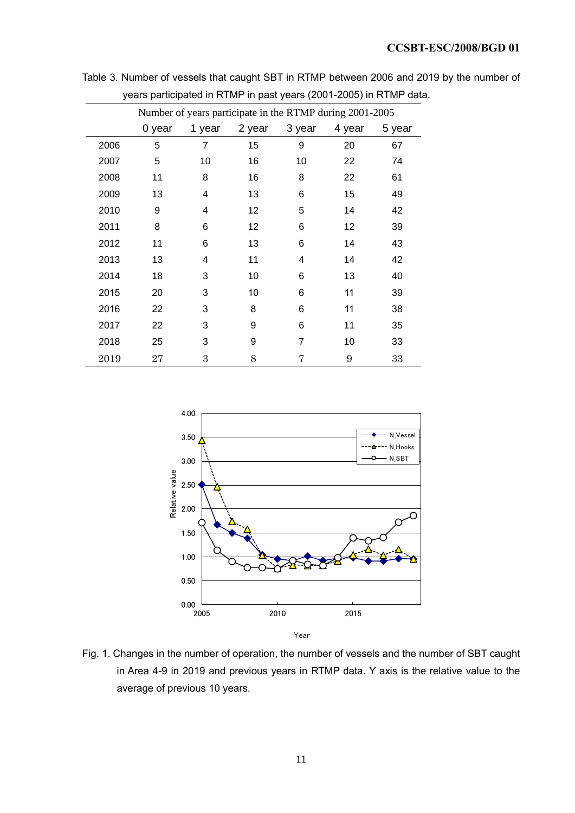|      |                                                          | ------------ | . <i>.</i> |        |        |        |  |  |  |  |  |  |  |
|------|----------------------------------------------------------|--------------|------------|--------|--------|--------|--|--|--|--|--|--|--|
|      | Number of years participate in the RTMP during 2001-2005 |              |            |        |        |        |  |  |  |  |  |  |  |
|      | 0 year                                                   | 1 year       | 2 year     | 3 year | 4 year | 5 year |  |  |  |  |  |  |  |
| 2006 | 5                                                        | 7            | 15         | 9      | 20     | 67     |  |  |  |  |  |  |  |
| 2007 | 5                                                        | 10           | 16         | 10     | 22     | 74     |  |  |  |  |  |  |  |
| 2008 | 11                                                       | 8            | 16         | 8      | 22     | 61     |  |  |  |  |  |  |  |
| 2009 | 13                                                       | 4            | 13         | 6      | 15     | 49     |  |  |  |  |  |  |  |
| 2010 | 9                                                        | 4            | 12         | 5      | 14     | 42     |  |  |  |  |  |  |  |
| 2011 | 8                                                        | 6            | 12         | 6      | 12     | 39     |  |  |  |  |  |  |  |
| 2012 | 11                                                       | 6            | 13         | 6      | 14     | 43     |  |  |  |  |  |  |  |
| 2013 | 13                                                       | 4            | 11         | 4      | 14     | 42     |  |  |  |  |  |  |  |
| 2014 | 18                                                       | 3            | 10         | 6      | 13     | 40     |  |  |  |  |  |  |  |
| 2015 | 20                                                       | 3            | 10         | 6      | 11     | 39     |  |  |  |  |  |  |  |
| 2016 | 22                                                       | 3            | 8          | 6      | 11     | 38     |  |  |  |  |  |  |  |
| 2017 | 22                                                       | 3            | 9          | 6      | 11     | 35     |  |  |  |  |  |  |  |
| 2018 | 25                                                       | 3            | 9          | 7      | 10     | 33     |  |  |  |  |  |  |  |
| 2019 | 27                                                       | 3            | 8          | 7      | 9      | 33     |  |  |  |  |  |  |  |
|      |                                                          |              |            |        |        |        |  |  |  |  |  |  |  |

Table 3. Number of vessels that caught SBT in RTMP between 2006 and 2019 by the number of years participated in RTMP in past years (2001-2005) in RTMP data.



Fig. 1. Changes in the number of operation, the number of vessels and the number of SBT caught in Area 4-9 in 2019 and previous years in RTMP data. Y axis is the relative value to the average of previous 10 years.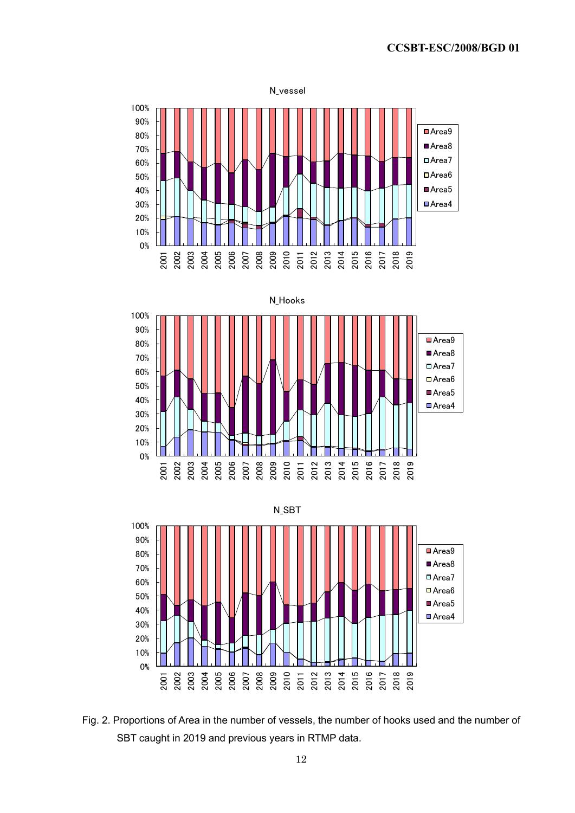

Fig. 2. Proportions of Area in the number of vessels, the number of hooks used and the number of SBT caught in 2019 and previous years in RTMP data.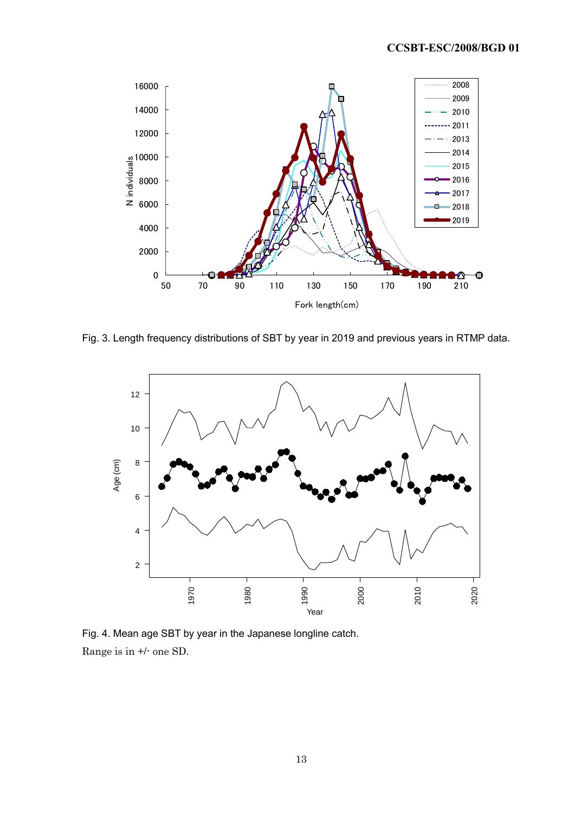

Fig. 3. Length frequency distributions of SBT by year in 2019 and previous years in RTMP data.



Fig. 4. Mean age SBT by year in the Japanese longline catch. Range is in +/- one SD.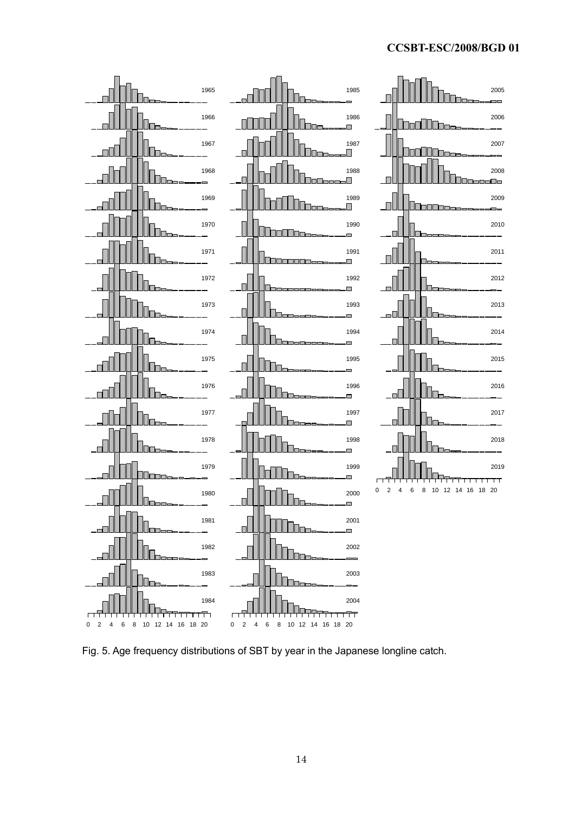## **CCSBT-ESC/2008/BGD 01**



Fig. 5. Age frequency distributions of SBT by year in the Japanese longline catch.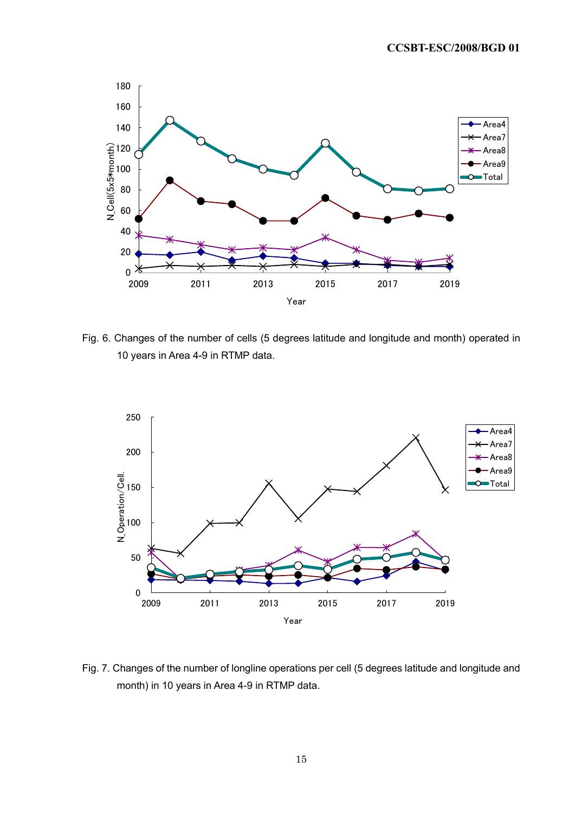

Fig. 6. Changes of the number of cells (5 degrees latitude and longitude and month) operated in 10 years in Area 4-9 in RTMP data.



Fig. 7. Changes of the number of longline operations per cell (5 degrees latitude and longitude and month) in 10 years in Area 4-9 in RTMP data.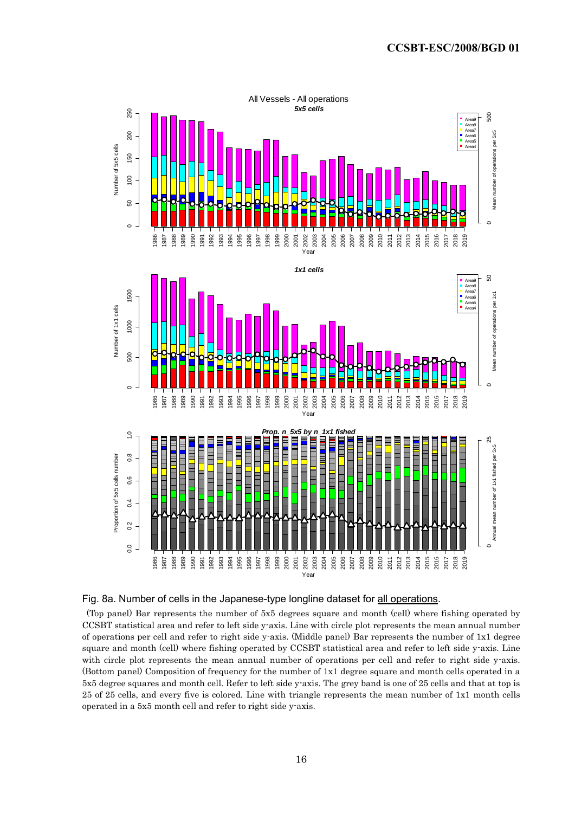



(Top panel) Bar represents the number of 5x5 degrees square and month (cell) where fishing operated by CCSBT statistical area and refer to left side y-axis. Line with circle plot represents the mean annual number of operations per cell and refer to right side y-axis. (Middle panel) Bar represents the number of 1x1 degree square and month (cell) where fishing operated by CCSBT statistical area and refer to left side y-axis. Line with circle plot represents the mean annual number of operations per cell and refer to right side y-axis. (Bottom panel) Composition of frequency for the number of 1x1 degree square and month cells operated in a 5x5 degree squares and month cell. Refer to left side y-axis. The grey band is one of 25 cells and that at top is 25 of 25 cells, and every five is colored. Line with triangle represents the mean number of 1x1 month cells operated in a 5x5 month cell and refer to right side y-axis.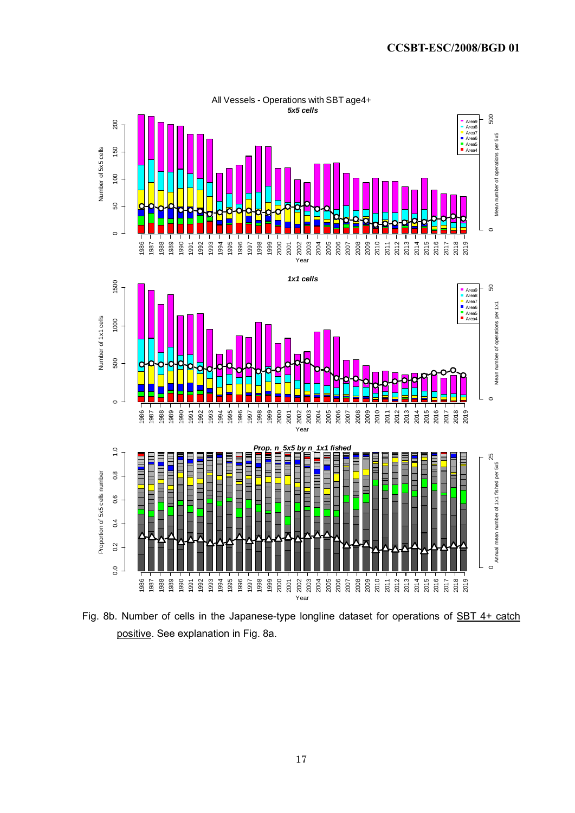

Fig. 8b. Number of cells in the Japanese-type longline dataset for operations of SBT 4+ catch positive. See explanation in Fig. 8a.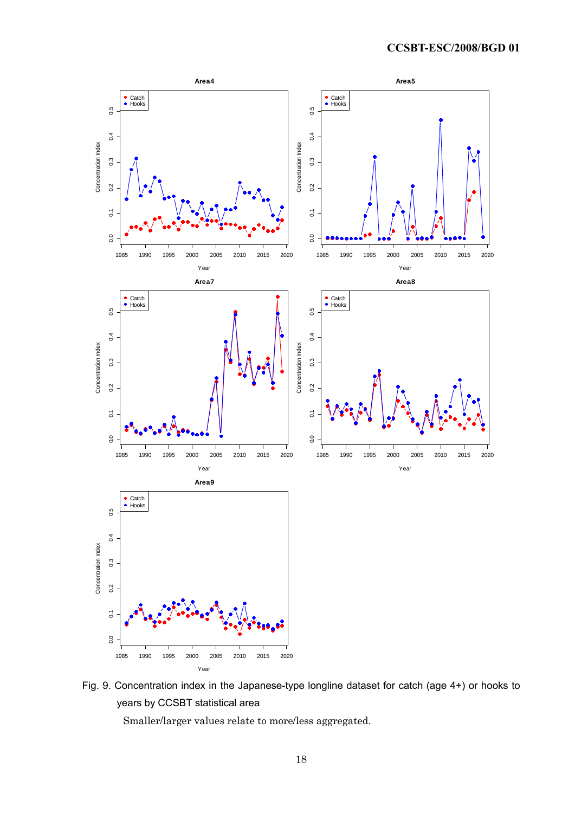

Fig. 9. Concentration index in the Japanese-type longline dataset for catch (age 4+) or hooks to years by CCSBT statistical area

Smaller/larger values relate to more/less aggregated.